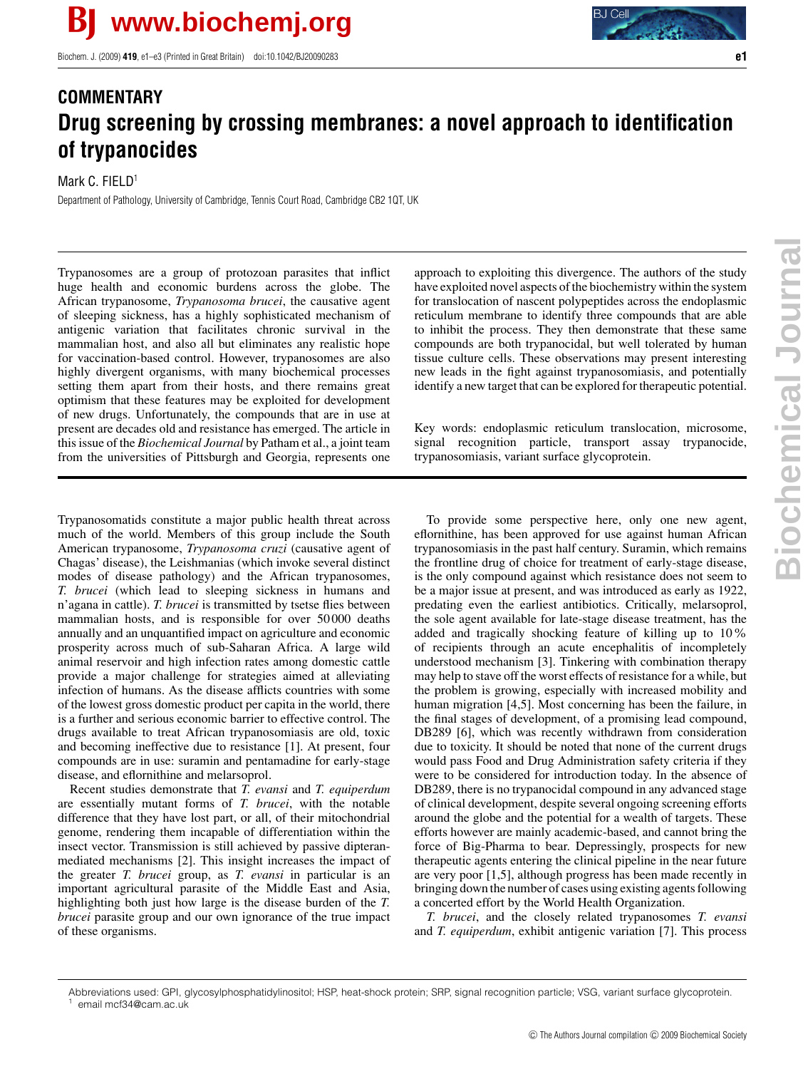Biochem. J. (2009) **419**, e1–e3 (Printed in Great Britain) doi:10.1042/BJ20090283 **e1**



## **COMMENTARY Drug screening by crossing membranes: a novel approach to identification of trypanocides**

## Mark C. FIELD<sup>1</sup>

Department of Pathology, University of Cambridge, Tennis Court Road, Cambridge CB2 1QT, UK

Trypanosomes are a group of protozoan parasites that inflict huge health and economic burdens across the globe. The African trypanosome, *Trypanosoma brucei*, the causative agent of sleeping sickness, has a highly sophisticated mechanism of antigenic variation that facilitates chronic survival in the mammalian host, and also all but eliminates any realistic hope for vaccination-based control. However, trypanosomes are also highly divergent organisms, with many biochemical processes setting them apart from their hosts, and there remains great optimism that these features may be exploited for development of new drugs. Unfortunately, the compounds that are in use at present are decades old and resistance has emerged. The article in this issue of the *Biochemical Journal* by Patham et al., a joint team from the universities of Pittsburgh and Georgia, represents one

Trypanosomatids constitute a major public health threat across much of the world. Members of this group include the South American trypanosome, *Trypanosoma cruzi* (causative agent of Chagas' disease), the Leishmanias (which invoke several distinct modes of disease pathology) and the African trypanosomes, *T. brucei* (which lead to sleeping sickness in humans and n'agana in cattle). *T. brucei* is transmitted by tsetse flies between mammalian hosts, and is responsible for over 50 000 deaths annually and an unquantified impact on agriculture and economic prosperity across much of sub-Saharan Africa. A large wild animal reservoir and high infection rates among domestic cattle provide a major challenge for strategies aimed at alleviating infection of humans. As the disease afflicts countries with some of the lowest gross domestic product per capita in the world, there is a further and serious economic barrier to effective control. The drugs available to treat African trypanosomiasis are old, toxic and becoming ineffective due to resistance [1]. At present, four compounds are in use: suramin and pentamadine for early-stage disease, and eflornithine and melarsoprol.

Recent studies demonstrate that *T. evansi* and *T. equiperdum* are essentially mutant forms of *T. brucei*, with the notable difference that they have lost part, or all, of their mitochondrial genome, rendering them incapable of differentiation within the insect vector. Transmission is still achieved by passive dipteranmediated mechanisms [2]. This insight increases the impact of the greater *T. brucei* group, as *T. evansi* in particular is an important agricultural parasite of the Middle East and Asia, highlighting both just how large is the disease burden of the *T. brucei* parasite group and our own ignorance of the true impact of these organisms.

approach to exploiting this divergence. The authors of the study have exploited novel aspects of the biochemistry within the system for translocation of nascent polypeptides across the endoplasmic reticulum membrane to identify three compounds that are able to inhibit the process. They then demonstrate that these same compounds are both trypanocidal, but well tolerated by human tissue culture cells. These observations may present interesting new leads in the fight against trypanosomiasis, and potentially identify a new target that can be explored for therapeutic potential.

Key words: endoplasmic reticulum translocation, microsome, signal recognition particle, transport assay trypanocide, trypanosomiasis, variant surface glycoprotein.

To provide some perspective here, only one new agent, eflornithine, has been approved for use against human African trypanosomiasis in the past half century. Suramin, which remains the frontline drug of choice for treatment of early-stage disease, is the only compound against which resistance does not seem to be a major issue at present, and was introduced as early as 1922, predating even the earliest antibiotics. Critically, melarsoprol, the sole agent available for late-stage disease treatment, has the added and tragically shocking feature of killing up to 10% of recipients through an acute encephalitis of incompletely understood mechanism [3]. Tinkering with combination therapy may help to stave off the worst effects of resistance for a while, but the problem is growing, especially with increased mobility and human migration [4,5]. Most concerning has been the failure, in the final stages of development, of a promising lead compound, DB289 [6], which was recently withdrawn from consideration due to toxicity. It should be noted that none of the current drugs would pass Food and Drug Administration safety criteria if they were to be considered for introduction today. In the absence of DB289, there is no trypanocidal compound in any advanced stage of clinical development, despite several ongoing screening efforts around the globe and the potential for a wealth of targets. These efforts however are mainly academic-based, and cannot bring the force of Big-Pharma to bear. Depressingly, prospects for new therapeutic agents entering the clinical pipeline in the near future are very poor [1,5], although progress has been made recently in bringing down the number of cases using existing agents following a concerted effort by the World Health Organization.

*T. brucei*, and the closely related trypanosomes *T. evansi* and *T. equiperdum*, exhibit antigenic variation [7]. This process

Abbreviations used: GPI, glycosylphosphatidylinositol; HSP, heat-shock protein; SRP, signal recognition particle; VSG, variant surface glycoprotein. email mcf34@cam.ac.uk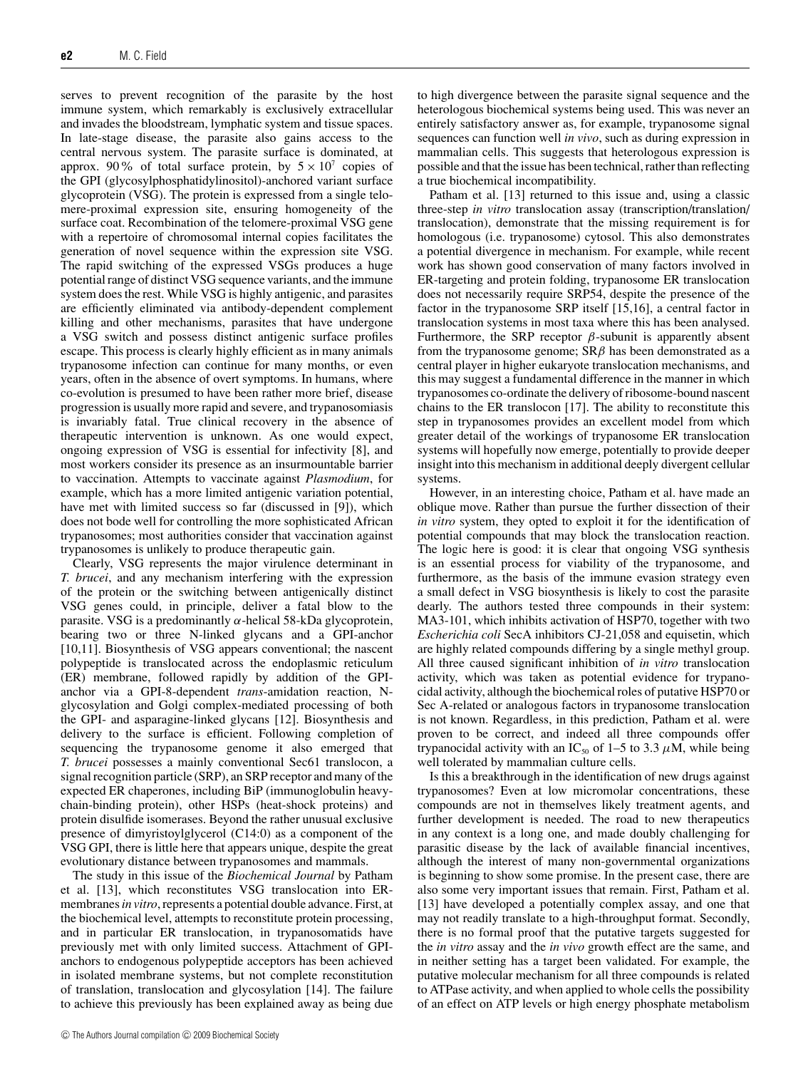serves to prevent recognition of the parasite by the host immune system, which remarkably is exclusively extracellular and invades the bloodstream, lymphatic system and tissue spaces. In late-stage disease, the parasite also gains access to the central nervous system. The parasite surface is dominated, at approx. 90% of total surface protein, by  $5 \times 10^7$  copies of the GPI (glycosylphosphatidylinositol)-anchored variant surface glycoprotein (VSG). The protein is expressed from a single telomere-proximal expression site, ensuring homogeneity of the surface coat. Recombination of the telomere-proximal VSG gene with a repertoire of chromosomal internal copies facilitates the generation of novel sequence within the expression site VSG. The rapid switching of the expressed VSGs produces a huge potential range of distinct VSG sequence variants, and the immune system does the rest. While VSG is highly antigenic, and parasites are efficiently eliminated via antibody-dependent complement killing and other mechanisms, parasites that have undergone a VSG switch and possess distinct antigenic surface profiles escape. This process is clearly highly efficient as in many animals trypanosome infection can continue for many months, or even years, often in the absence of overt symptoms. In humans, where co-evolution is presumed to have been rather more brief, disease progression is usually more rapid and severe, and trypanosomiasis is invariably fatal. True clinical recovery in the absence of therapeutic intervention is unknown. As one would expect, ongoing expression of VSG is essential for infectivity [8], and most workers consider its presence as an insurmountable barrier to vaccination. Attempts to vaccinate against *Plasmodium*, for example, which has a more limited antigenic variation potential, have met with limited success so far (discussed in [9]), which does not bode well for controlling the more sophisticated African trypanosomes; most authorities consider that vaccination against trypanosomes is unlikely to produce therapeutic gain.

Clearly, VSG represents the major virulence determinant in *T. brucei*, and any mechanism interfering with the expression of the protein or the switching between antigenically distinct VSG genes could, in principle, deliver a fatal blow to the parasite. VSG is a predominantly  $\alpha$ -helical 58-kDa glycoprotein, bearing two or three N-linked glycans and a GPI-anchor [10,11]. Biosynthesis of VSG appears conventional; the nascent polypeptide is translocated across the endoplasmic reticulum (ER) membrane, followed rapidly by addition of the GPIanchor via a GPI-8-dependent *trans*-amidation reaction, Nglycosylation and Golgi complex-mediated processing of both the GPI- and asparagine-linked glycans [12]. Biosynthesis and delivery to the surface is efficient. Following completion of sequencing the trypanosome genome it also emerged that *T. brucei* possesses a mainly conventional Sec61 translocon, a signal recognition particle (SRP), an SRP receptor and many of the expected ER chaperones, including BiP (immunoglobulin heavychain-binding protein), other HSPs (heat-shock proteins) and protein disulfide isomerases. Beyond the rather unusual exclusive presence of dimyristoylglycerol (C14:0) as a component of the VSG GPI, there is little here that appears unique, despite the great evolutionary distance between trypanosomes and mammals.

The study in this issue of the *Biochemical Journal* by Patham et al. [13], which reconstitutes VSG translocation into ERmembranes*in vitro*, represents a potential double advance. First, at the biochemical level, attempts to reconstitute protein processing, and in particular ER translocation, in trypanosomatids have previously met with only limited success. Attachment of GPIanchors to endogenous polypeptide acceptors has been achieved in isolated membrane systems, but not complete reconstitution of translation, translocation and glycosylation [14]. The failure to achieve this previously has been explained away as being due

to high divergence between the parasite signal sequence and the heterologous biochemical systems being used. This was never an entirely satisfactory answer as, for example, trypanosome signal sequences can function well *in vivo*, such as during expression in mammalian cells. This suggests that heterologous expression is possible and that the issue has been technical, rather than reflecting a true biochemical incompatibility.

Patham et al. [13] returned to this issue and, using a classic three-step *in vitro* translocation assay (transcription/translation/ translocation), demonstrate that the missing requirement is for homologous (i.e. trypanosome) cytosol. This also demonstrates a potential divergence in mechanism. For example, while recent work has shown good conservation of many factors involved in ER-targeting and protein folding, trypanosome ER translocation does not necessarily require SRP54, despite the presence of the factor in the trypanosome SRP itself [15,16], a central factor in translocation systems in most taxa where this has been analysed. Furthermore, the SRP receptor  $\beta$ -subunit is apparently absent from the trypanosome genome;  $SR\beta$  has been demonstrated as a central player in higher eukaryote translocation mechanisms, and this may suggest a fundamental difference in the manner in which trypanosomes co-ordinate the delivery of ribosome-bound nascent chains to the ER translocon [17]. The ability to reconstitute this step in trypanosomes provides an excellent model from which greater detail of the workings of trypanosome ER translocation systems will hopefully now emerge, potentially to provide deeper insight into this mechanism in additional deeply divergent cellular systems.

However, in an interesting choice, Patham et al. have made an oblique move. Rather than pursue the further dissection of their *in vitro* system, they opted to exploit it for the identification of potential compounds that may block the translocation reaction. The logic here is good: it is clear that ongoing VSG synthesis is an essential process for viability of the trypanosome, and furthermore, as the basis of the immune evasion strategy even a small defect in VSG biosynthesis is likely to cost the parasite dearly. The authors tested three compounds in their system: MA3-101, which inhibits activation of HSP70, together with two *Escherichia coli* SecA inhibitors CJ-21,058 and equisetin, which are highly related compounds differing by a single methyl group. All three caused significant inhibition of *in vitro* translocation activity, which was taken as potential evidence for trypanocidal activity, although the biochemical roles of putative HSP70 or Sec A-related or analogous factors in trypanosome translocation is not known. Regardless, in this prediction, Patham et al. were proven to be correct, and indeed all three compounds offer trypanocidal activity with an IC<sub>50</sub> of 1–5 to 3.3  $\mu$ M, while being well tolerated by mammalian culture cells.

Is this a breakthrough in the identification of new drugs against trypanosomes? Even at low micromolar concentrations, these compounds are not in themselves likely treatment agents, and further development is needed. The road to new therapeutics in any context is a long one, and made doubly challenging for parasitic disease by the lack of available financial incentives, although the interest of many non-governmental organizations is beginning to show some promise. In the present case, there are also some very important issues that remain. First, Patham et al. [13] have developed a potentially complex assay, and one that may not readily translate to a high-throughput format. Secondly, there is no formal proof that the putative targets suggested for the *in vitro* assay and the *in vivo* growth effect are the same, and in neither setting has a target been validated. For example, the putative molecular mechanism for all three compounds is related to ATPase activity, and when applied to whole cells the possibility of an effect on ATP levels or high energy phosphate metabolism